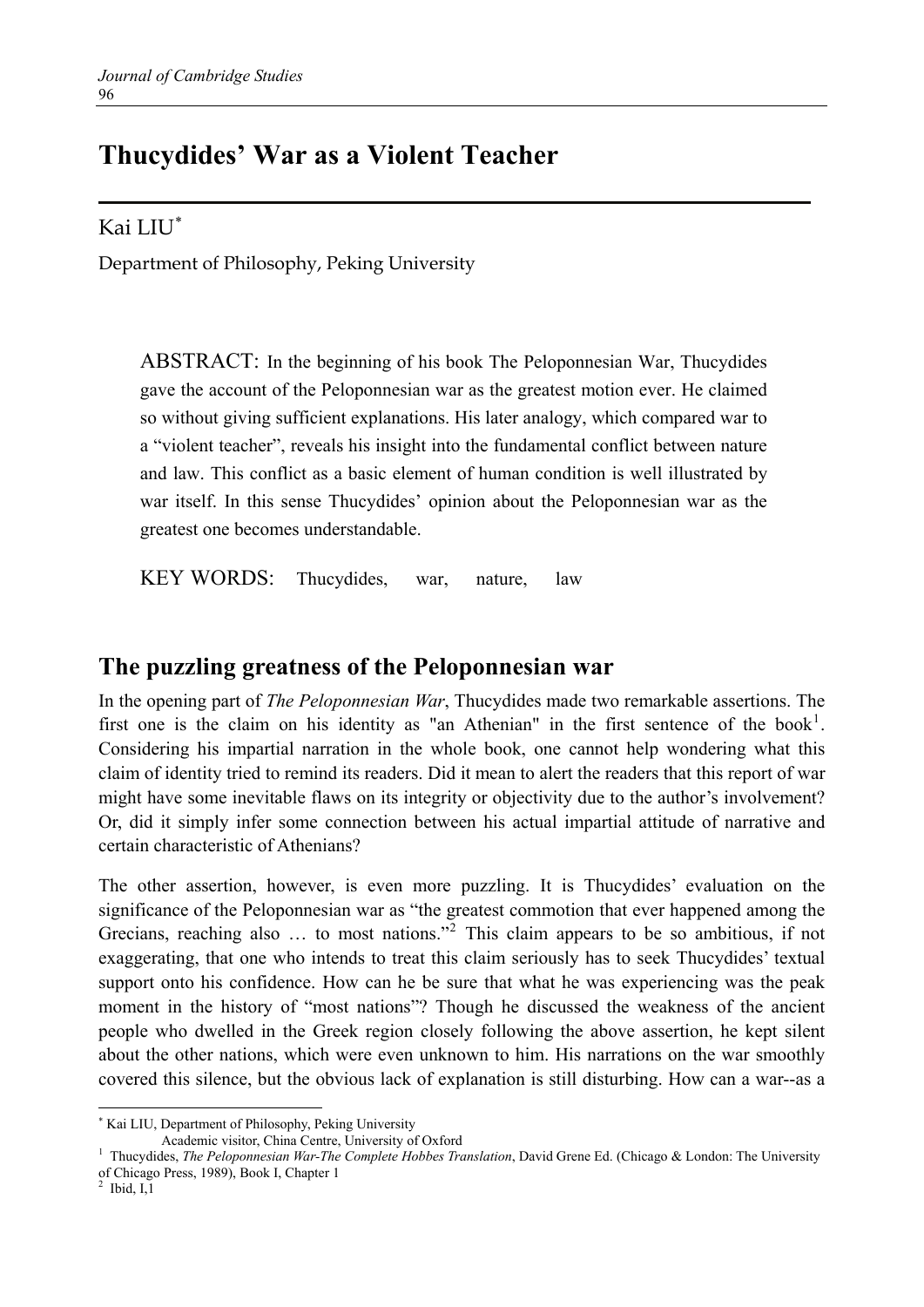# **Thucydides' War as a Violent Teacher**

Kai LIU[∗](#page-0-0)

Department of Philosophy, Peking University

ABSTRACT: In the beginning of his book The Peloponnesian War, Thucydides gave the account of the Peloponnesian war as the greatest motion ever. He claimed so without giving sufficient explanations. His later analogy, which compared war to a "violent teacher", reveals his insight into the fundamental conflict between nature and law. This conflict as a basic element of human condition is well illustrated by war itself. In this sense Thucydides' opinion about the Peloponnesian war as the greatest one becomes understandable.

KEY WORDS: Thucydides, war, nature, law

### **The puzzling greatness of the Peloponnesian war**

In the opening part of *The Peloponnesian War*, Thucydides made two remarkable assertions. The first one is the claim on his identity as "an Athenian" in the first sentence of the book<sup>[1](#page-0-1)</sup>. Considering his impartial narration in the whole book, one cannot help wondering what this claim of identity tried to remind its readers. Did it mean to alert the readers that this report of war might have some inevitable flaws on its integrity or objectivity due to the author's involvement? Or, did it simply infer some connection between his actual impartial attitude of narrative and certain characteristic of Athenians?

The other assertion, however, is even more puzzling. It is Thucydides' evaluation on the significance of the Peloponnesian war as "the greatest commotion that ever happened among the Grecians, reaching also ... to most nations."<sup>[2](#page-0-2)</sup> This claim appears to be so ambitious, if not exaggerating, that one who intends to treat this claim seriously has to seek Thucydides' textual support onto his confidence. How can he be sure that what he was experiencing was the peak moment in the history of "most nations"? Though he discussed the weakness of the ancient people who dwelled in the Greek region closely following the above assertion, he kept silent about the other nations, which were even unknown to him. His narrations on the war smoothly covered this silence, but the obvious lack of explanation is still disturbing. How can a war--as a

 $\overline{a}$ 

<span id="page-0-0"></span><sup>∗</sup> Kai LIU, Department of Philosophy, Peking University

Academic visitor, China Centre, University of Oxford

<span id="page-0-1"></span><sup>&</sup>lt;sup>1</sup> Thucydides, *The Peloponnesian War-The Complete Hobbes Translation*, David Grene Ed. (Chicago & London: The University of Chicago Press, 1989), Book I, Chapter 1<br><sup>2</sup> Ibid 11

<span id="page-0-2"></span>Ibid, I,1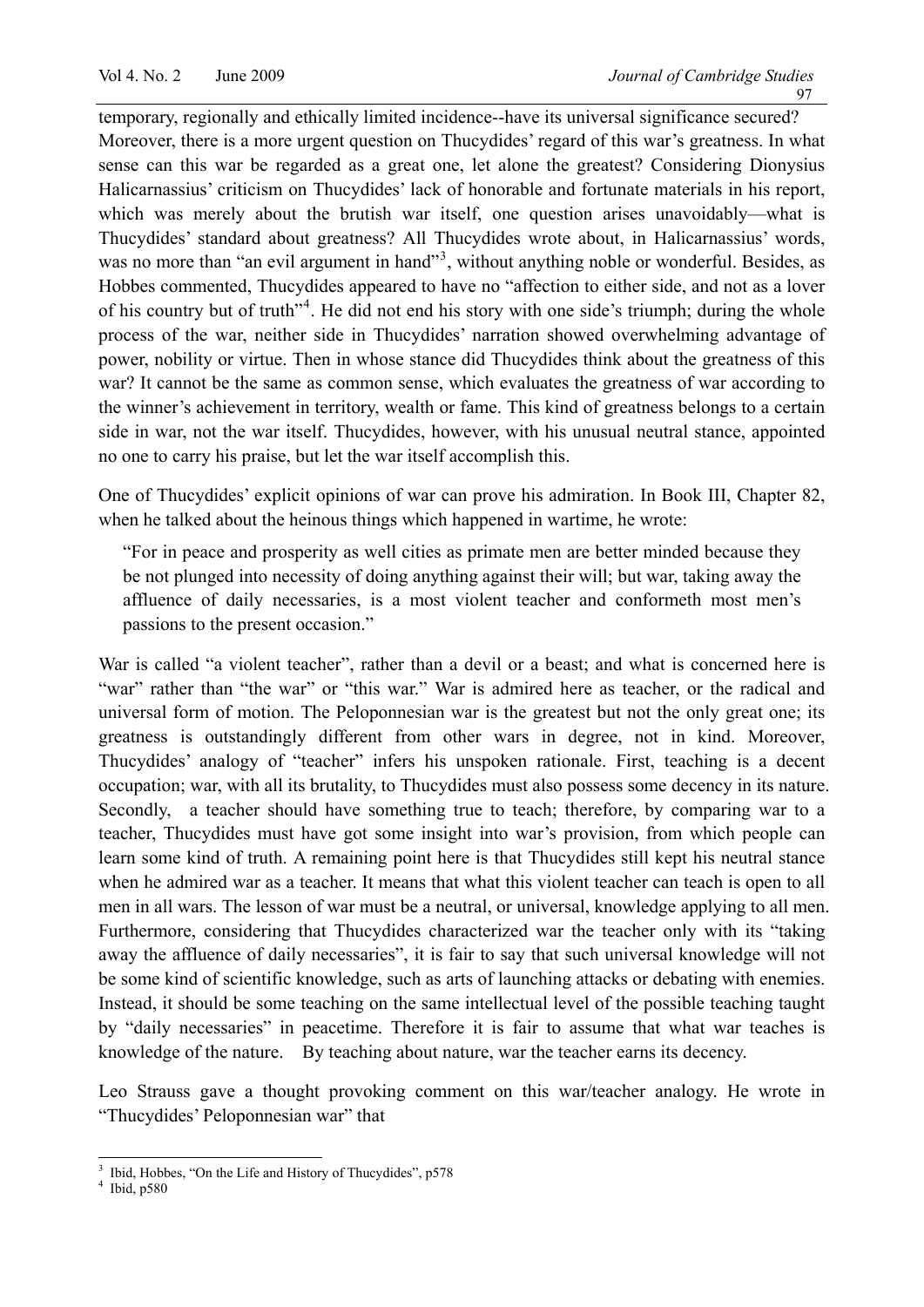temporary, regionally and ethically limited incidence--have its universal significance secured? Moreover, there is a more urgent question on Thucydides' regard of this war's greatness. In what sense can this war be regarded as a great one, let alone the greatest? Considering Dionysius Halicarnassius' criticism on Thucydides' lack of honorable and fortunate materials in his report, which was merely about the brutish war itself, one question arises unavoidably—what is Thucydides' standard about greatness? All Thucydides wrote about, in Halicarnassius' words, was no more than "an evil argument in hand"<sup>[3](#page-1-0)</sup>, without anything noble or wonderful. Besides, as Hobbes commented, Thucydides appeared to have no "affection to either side, and not as a lover of his country but of truth"<sup>[4](#page-1-1)</sup>. He did not end his story with one side's triumph; during the whole process of the war, neither side in Thucydides' narration showed overwhelming advantage of power, nobility or virtue. Then in whose stance did Thucydides think about the greatness of this war? It cannot be the same as common sense, which evaluates the greatness of war according to the winner's achievement in territory, wealth or fame. This kind of greatness belongs to a certain side in war, not the war itself. Thucydides, however, with his unusual neutral stance, appointed no one to carry his praise, but let the war itself accomplish this.

One of Thucydides' explicit opinions of war can prove his admiration. In Book III, Chapter 82, when he talked about the heinous things which happened in wartime, he wrote:

"For in peace and prosperity as well cities as primate men are better minded because they be not plunged into necessity of doing anything against their will; but war, taking away the affluence of daily necessaries, is a most violent teacher and conformeth most men's passions to the present occasion."

War is called "a violent teacher", rather than a devil or a beast; and what is concerned here is "war" rather than "the war" or "this war." War is admired here as teacher, or the radical and universal form of motion. The Peloponnesian war is the greatest but not the only great one; its greatness is outstandingly different from other wars in degree, not in kind. Moreover, Thucydides' analogy of "teacher" infers his unspoken rationale. First, teaching is a decent occupation; war, with all its brutality, to Thucydides must also possess some decency in its nature. Secondly, a teacher should have something true to teach; therefore, by comparing war to a teacher, Thucydides must have got some insight into war's provision, from which people can learn some kind of truth. A remaining point here is that Thucydides still kept his neutral stance when he admired war as a teacher. It means that what this violent teacher can teach is open to all men in all wars. The lesson of war must be a neutral, or universal, knowledge applying to all men. Furthermore, considering that Thucydides characterized war the teacher only with its "taking away the affluence of daily necessaries", it is fair to say that such universal knowledge will not be some kind of scientific knowledge, such as arts of launching attacks or debating with enemies. Instead, it should be some teaching on the same intellectual level of the possible teaching taught by "daily necessaries" in peacetime. Therefore it is fair to assume that what war teaches is knowledge of the nature. By teaching about nature, war the teacher earns its decency.

Leo Strauss gave a thought provoking comment on this war/teacher analogy. He wrote in "Thucydides' Peloponnesian war" that

 $\frac{1}{3}$ Ibid, Hobbes, "On the Life and History of Thucydides", p578

<span id="page-1-1"></span><span id="page-1-0"></span> $4$  Ibid, p580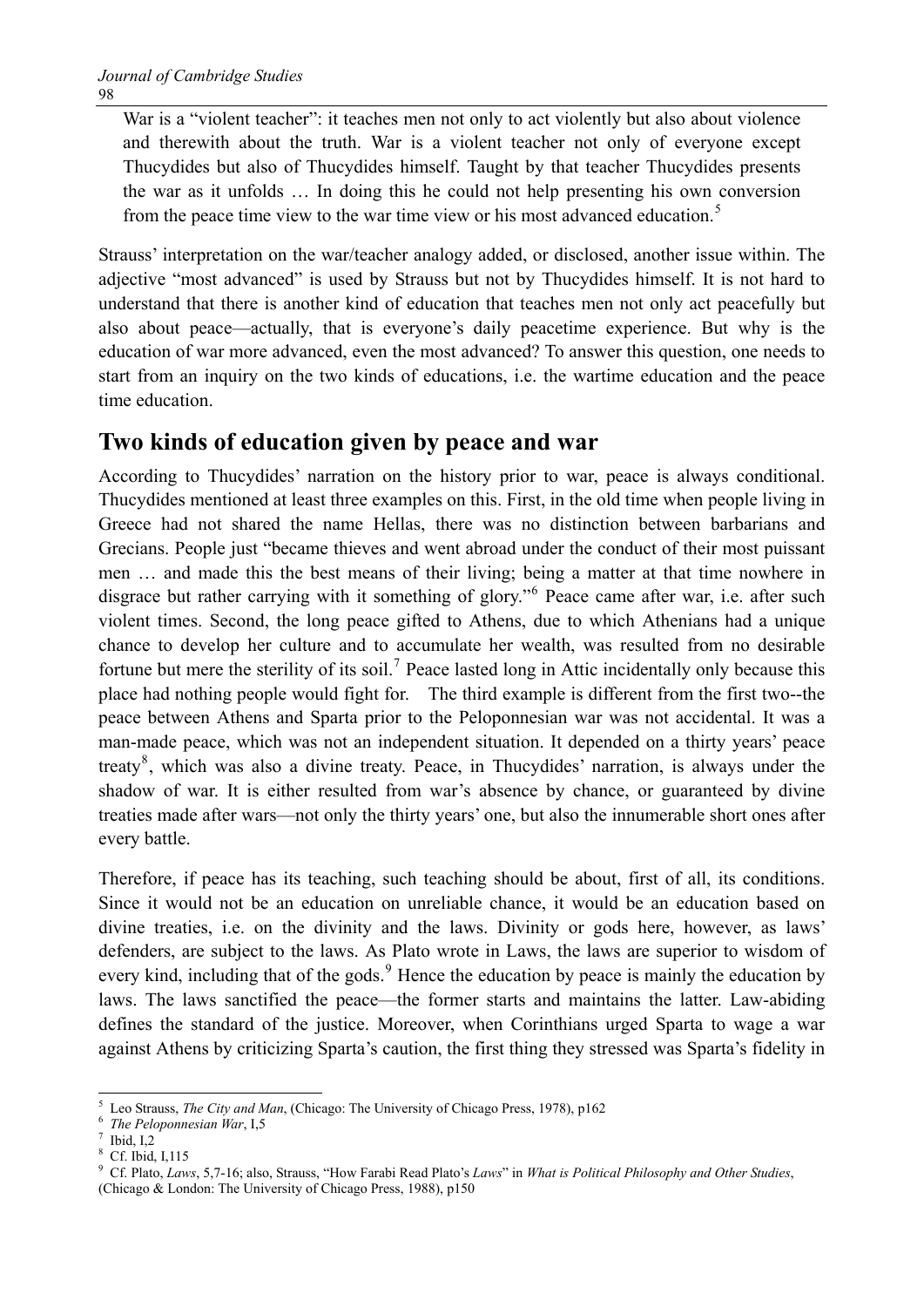War is a "violent teacher": it teaches men not only to act violently but also about violence and therewith about the truth. War is a violent teacher not only of everyone except Thucydides but also of Thucydides himself. Taught by that teacher Thucydides presents the war as it unfolds … In doing this he could not help presenting his own conversion from the peace time view to the war time view or his most advanced education.<sup>[5](#page-2-0)</sup>

Strauss' interpretation on the war/teacher analogy added, or disclosed, another issue within. The adjective "most advanced" is used by Strauss but not by Thucydides himself. It is not hard to understand that there is another kind of education that teaches men not only act peacefully but also about peace—actually, that is everyone's daily peacetime experience. But why is the education of war more advanced, even the most advanced? To answer this question, one needs to start from an inquiry on the two kinds of educations, i.e. the wartime education and the peace time education.

### **Two kinds of education given by peace and war**

According to Thucydides' narration on the history prior to war, peace is always conditional. Thucydides mentioned at least three examples on this. First, in the old time when people living in Greece had not shared the name Hellas, there was no distinction between barbarians and Grecians. People just "became thieves and went abroad under the conduct of their most puissant men … and made this the best means of their living; being a matter at that time nowhere in disgrace but rather carrying with it something of glory."<sup>[6](#page-2-1)</sup> Peace came after war, i.e. after such violent times. Second, the long peace gifted to Athens, due to which Athenians had a unique chance to develop her culture and to accumulate her wealth, was resulted from no desirable fortune but mere the sterility of its soil.<sup>[7](#page-2-2)</sup> Peace lasted long in Attic incidentally only because this place had nothing people would fight for. The third example is different from the first two--the peace between Athens and Sparta prior to the Peloponnesian war was not accidental. It was a man-made peace, which was not an independent situation. It depended on a thirty years' peace treaty<sup>[8](#page-2-3)</sup>, which was also a divine treaty. Peace, in Thucydides' narration, is always under the shadow of war. It is either resulted from war's absence by chance, or guaranteed by divine treaties made after wars—not only the thirty years' one, but also the innumerable short ones after every battle.

Therefore, if peace has its teaching, such teaching should be about, first of all, its conditions. Since it would not be an education on unreliable chance, it would be an education based on divine treaties, i.e. on the divinity and the laws. Divinity or gods here, however, as laws' defenders, are subject to the laws. As Plato wrote in Laws, the laws are superior to wisdom of every kind, including that of the gods.<sup>[9](#page-2-4)</sup> Hence the education by peace is mainly the education by laws. The laws sanctified the peace—the former starts and maintains the latter. Law-abiding defines the standard of the justice. Moreover, when Corinthians urged Sparta to wage a war against Athens by criticizing Sparta's caution, the first thing they stressed was Sparta's fidelity in

<span id="page-2-0"></span> $\overline{a}$ 5 Leo Strauss, *The City and Man*, (Chicago: The University of Chicago Press, 1978), p162 *The Peloponnesian War*, I,5

<span id="page-2-1"></span>

<span id="page-2-2"></span>Ibid, I,2

<sup>8</sup> Cf. Ibid, I,115

<span id="page-2-4"></span><span id="page-2-3"></span><sup>9</sup> Cf. Plato, *Laws*, 5,7-16; also, Strauss, "How Farabi Read Plato's *Laws*" in *What is Political Philosophy and Other Studies*,

<sup>(</sup>Chicago & London: The University of Chicago Press, 1988), p150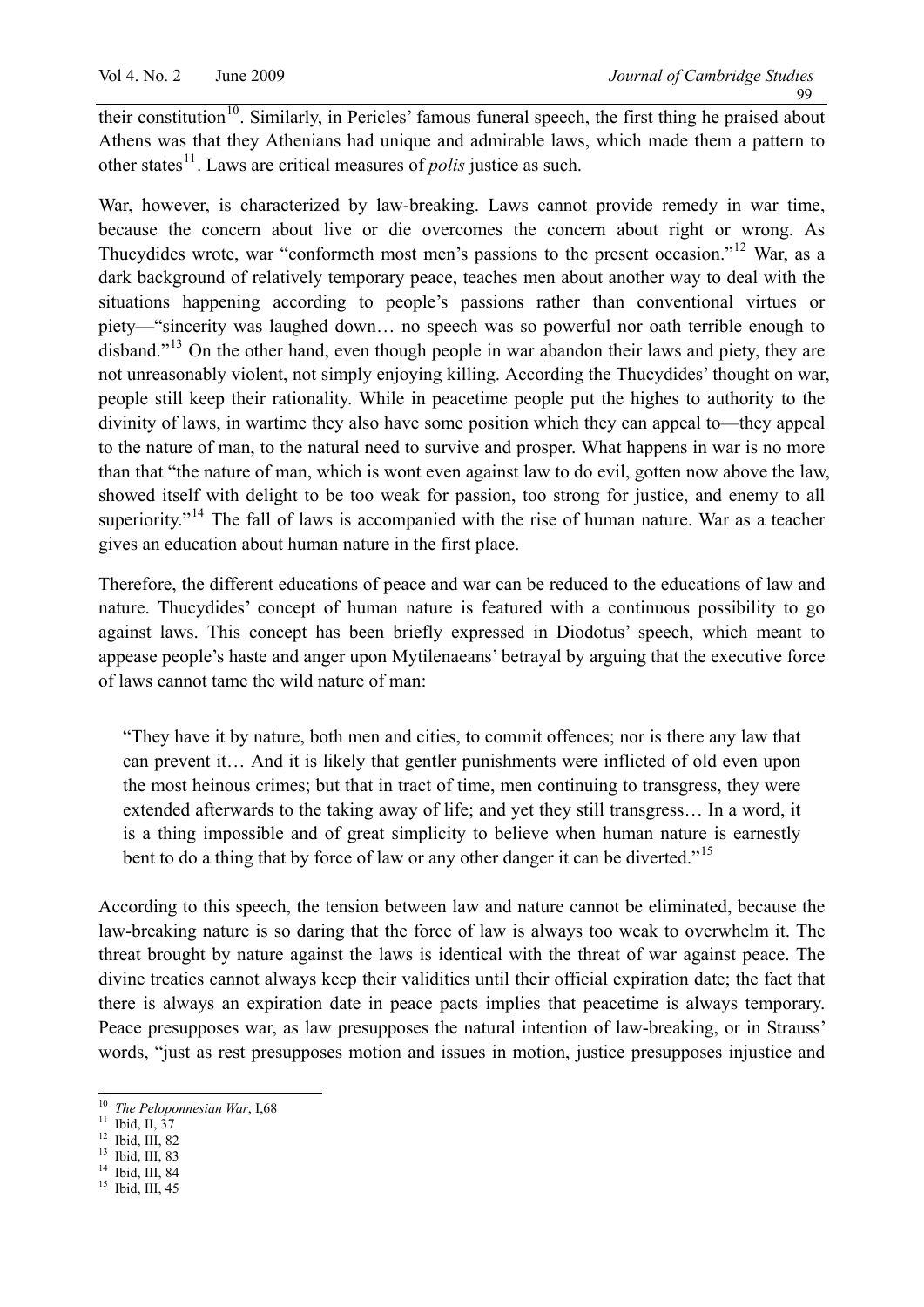their constitution<sup>[10](#page-3-0)</sup>. Similarly, in Pericles' famous funeral speech, the first thing he praised about Athens was that they Athenians had unique and admirable laws, which made them a pattern to other states<sup>[11](#page-3-1)</sup>. Laws are critical measures of *polis* justice as such.

War, however, is characterized by law-breaking. Laws cannot provide remedy in war time, because the concern about live or die overcomes the concern about right or wrong. As Thucydides wrote, war "conformeth most men's passions to the present occasion."<sup>[12](#page-3-2)</sup> War, as a dark background of relatively temporary peace, teaches men about another way to deal with the situations happening according to people's passions rather than conventional virtues or piety—"sincerity was laughed down… no speech was so powerful nor oath terrible enough to disband."<sup>[13](#page-3-3)</sup> On the other hand, even though people in war abandon their laws and piety, they are not unreasonably violent, not simply enjoying killing. According the Thucydides' thought on war, people still keep their rationality. While in peacetime people put the highes to authority to the divinity of laws, in wartime they also have some position which they can appeal to—they appeal to the nature of man, to the natural need to survive and prosper. What happens in war is no more than that "the nature of man, which is wont even against law to do evil, gotten now above the law, showed itself with delight to be too weak for passion, too strong for justice, and enemy to all superiority."<sup>[14](#page-3-4)</sup> The fall of laws is accompanied with the rise of human nature. War as a teacher gives an education about human nature in the first place.

Therefore, the different educations of peace and war can be reduced to the educations of law and nature. Thucydides' concept of human nature is featured with a continuous possibility to go against laws. This concept has been briefly expressed in Diodotus' speech, which meant to appease people's haste and anger upon Mytilenaeans' betrayal by arguing that the executive force of laws cannot tame the wild nature of man:

"They have it by nature, both men and cities, to commit offences; nor is there any law that can prevent it… And it is likely that gentler punishments were inflicted of old even upon the most heinous crimes; but that in tract of time, men continuing to transgress, they were extended afterwards to the taking away of life; and yet they still transgress… In a word, it is a thing impossible and of great simplicity to believe when human nature is earnestly bent to do a thing that by force of law or any other danger it can be diverted."<sup>[15](#page-3-5)</sup>

According to this speech, the tension between law and nature cannot be eliminated, because the law-breaking nature is so daring that the force of law is always too weak to overwhelm it. The threat brought by nature against the laws is identical with the threat of war against peace. The divine treaties cannot always keep their validities until their official expiration date; the fact that there is always an expiration date in peace pacts implies that peacetime is always temporary. Peace presupposes war, as law presupposes the natural intention of law-breaking, or in Strauss' words, "just as rest presupposes motion and issues in motion, justice presupposes injustice and

 $\overline{a}$ <sup>10</sup> *The Peloponnesian War*, I,68<sup>11</sup> Ibid, II, 37

<span id="page-3-1"></span><span id="page-3-0"></span> $\frac{11}{12}$  Ibid, II,  $\frac{37}{12}$ 

<span id="page-3-3"></span><span id="page-3-2"></span> $13$  Ibid, III, 83

<span id="page-3-4"></span> $14$  Ibid, III, 84

<span id="page-3-5"></span> $15$  Ibid, III, 45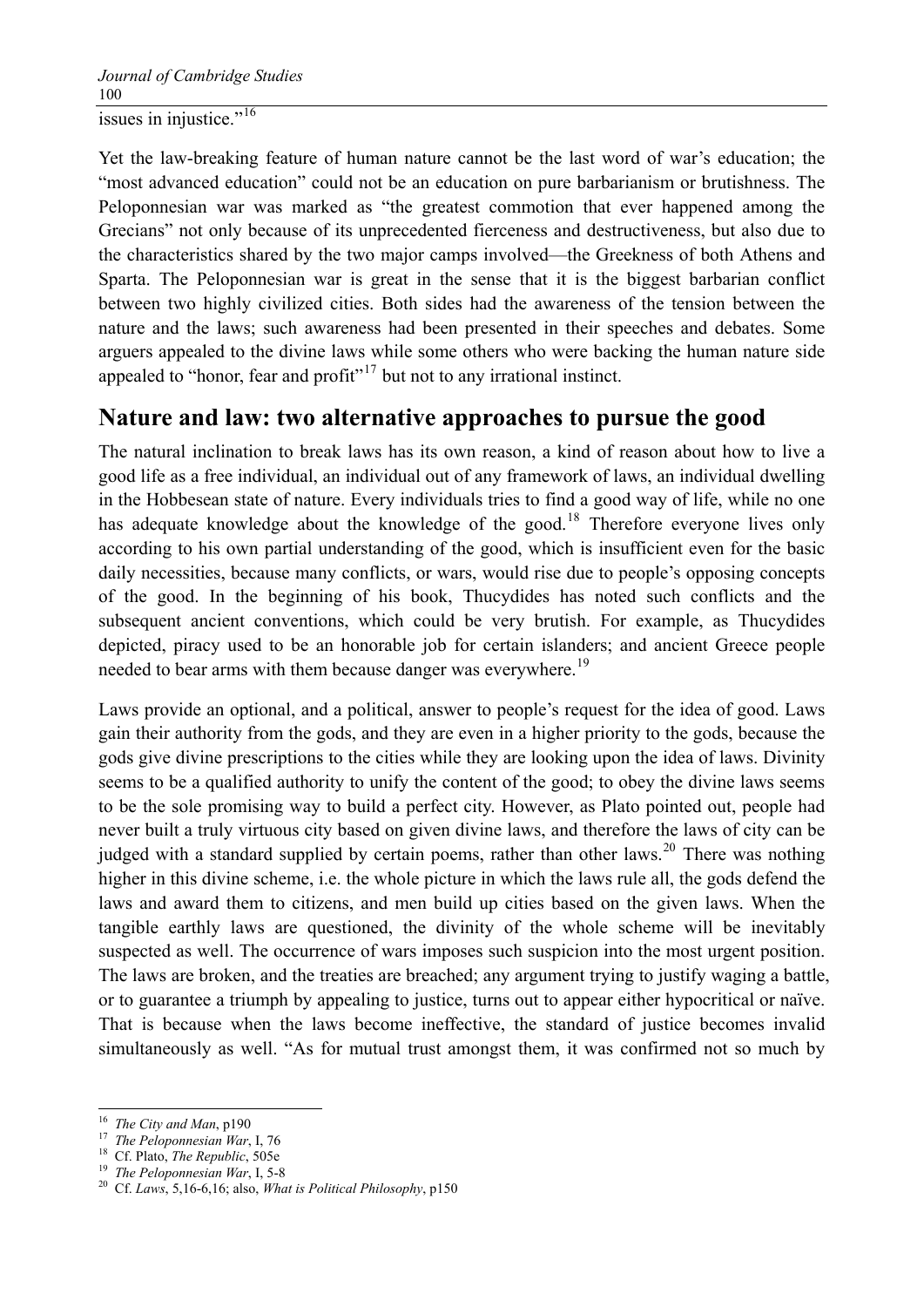Yet the law-breaking feature of human nature cannot be the last word of war's education; the "most advanced education" could not be an education on pure barbarianism or brutishness. The Peloponnesian war was marked as "the greatest commotion that ever happened among the Grecians" not only because of its unprecedented fierceness and destructiveness, but also due to the characteristics shared by the two major camps involved—the Greekness of both Athens and Sparta. The Peloponnesian war is great in the sense that it is the biggest barbarian conflict between two highly civilized cities. Both sides had the awareness of the tension between the nature and the laws; such awareness had been presented in their speeches and debates. Some arguers appealed to the divine laws while some others who were backing the human nature side appealed to "honor, fear and profit"<sup>[17](#page-4-1)</sup> but not to any irrational instinct.

#### **Nature and law: two alternative approaches to pursue the good**

The natural inclination to break laws has its own reason, a kind of reason about how to live a good life as a free individual, an individual out of any framework of laws, an individual dwelling in the Hobbesean state of nature. Every individuals tries to find a good way of life, while no one has adequate knowledge about the knowledge of the good.<sup>[18](#page-4-2)</sup> Therefore everyone lives only according to his own partial understanding of the good, which is insufficient even for the basic daily necessities, because many conflicts, or wars, would rise due to people's opposing concepts of the good. In the beginning of his book, Thucydides has noted such conflicts and the subsequent ancient conventions, which could be very brutish. For example, as Thucydides depicted, piracy used to be an honorable job for certain islanders; and ancient Greece people needed to bear arms with them because danger was everywhere.<sup>[19](#page-4-3)</sup>

Laws provide an optional, and a political, answer to people's request for the idea of good. Laws gain their authority from the gods, and they are even in a higher priority to the gods, because the gods give divine prescriptions to the cities while they are looking upon the idea of laws. Divinity seems to be a qualified authority to unify the content of the good; to obey the divine laws seems to be the sole promising way to build a perfect city. However, as Plato pointed out, people had never built a truly virtuous city based on given divine laws, and therefore the laws of city can be judged with a standard supplied by certain poems, rather than other laws.<sup>[20](#page-4-4)</sup> There was nothing higher in this divine scheme, i.e. the whole picture in which the laws rule all, the gods defend the laws and award them to citizens, and men build up cities based on the given laws. When the tangible earthly laws are questioned, the divinity of the whole scheme will be inevitably suspected as well. The occurrence of wars imposes such suspicion into the most urgent position. The laws are broken, and the treaties are breached; any argument trying to justify waging a battle, or to guarantee a triumph by appealing to justice, turns out to appear either hypocritical or naïve. That is because when the laws become ineffective, the standard of justice becomes invalid simultaneously as well. "As for mutual trust amongst them, it was confirmed not so much by

<span id="page-4-0"></span><sup>&</sup>lt;sup>16</sup> The City and Man, p190

<span id="page-4-2"></span>

<span id="page-4-4"></span><span id="page-4-3"></span>

<span id="page-4-1"></span><sup>&</sup>lt;sup>17</sup> The Peloponnesian War, I, 76<br><sup>18</sup> Cf. Plato, *The Republic*, 505e<br><sup>19</sup> The Peloponnesian War, I, 5-8<br><sup>20</sup> Cf. Laws, 5,16-6,16; also, *What is Political Philosophy*, p150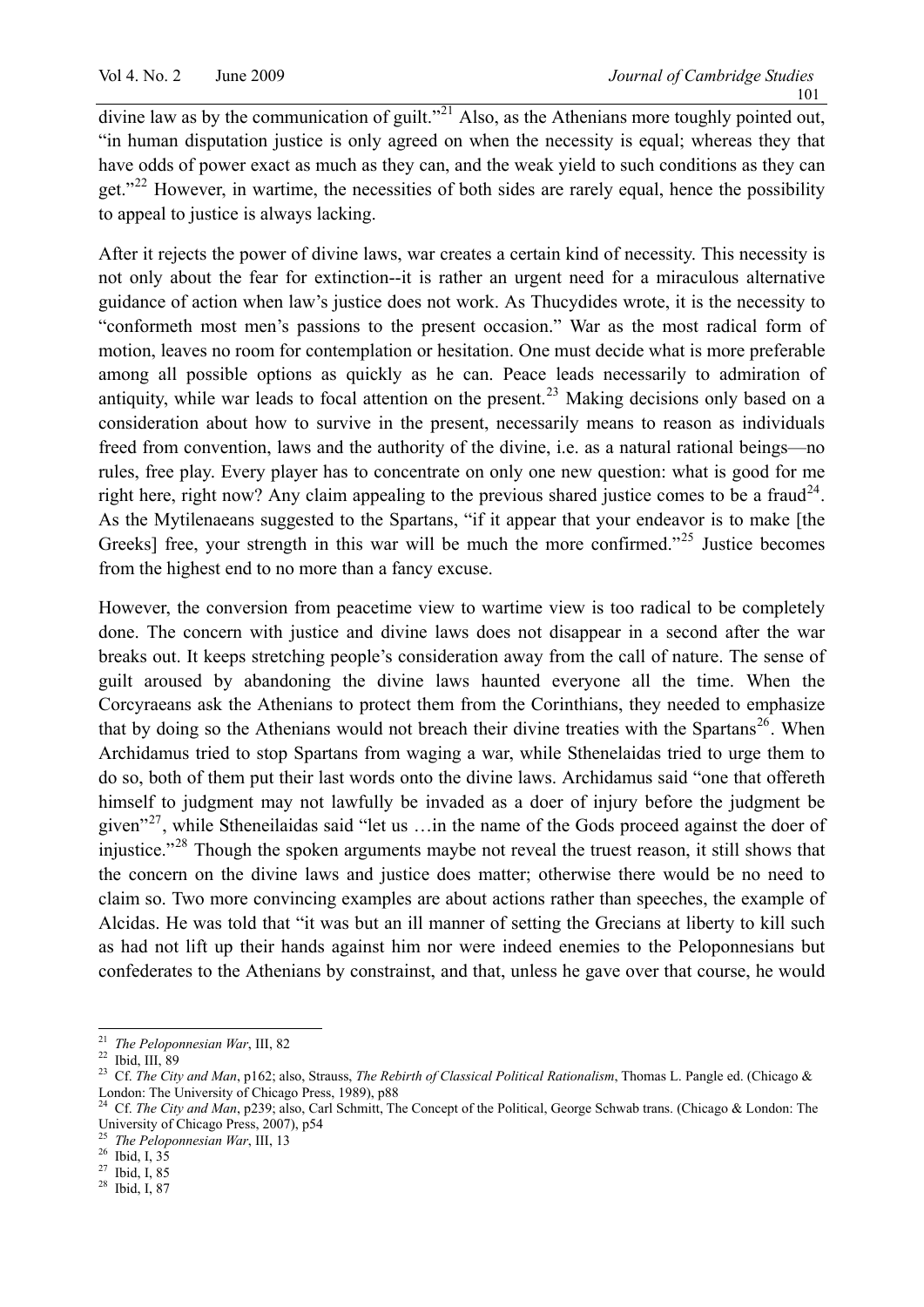divine law as by the communication of guilt."<sup>[21](#page-5-0)</sup> Also, as the Athenians more toughly pointed out, "in human disputation justice is only agreed on when the necessity is equal; whereas they that have odds of power exact as much as they can, and the weak yield to such conditions as they can get."<sup>[22](#page-5-1)</sup> However, in wartime, the necessities of both sides are rarely equal, hence the possibility to appeal to justice is always lacking.

After it rejects the power of divine laws, war creates a certain kind of necessity. This necessity is not only about the fear for extinction--it is rather an urgent need for a miraculous alternative guidance of action when law's justice does not work. As Thucydides wrote, it is the necessity to "conformeth most men's passions to the present occasion." War as the most radical form of motion, leaves no room for contemplation or hesitation. One must decide what is more preferable among all possible options as quickly as he can. Peace leads necessarily to admiration of antiquity, while war leads to focal attention on the present.<sup>[23](#page-5-2)</sup> Making decisions only based on a consideration about how to survive in the present, necessarily means to reason as individuals freed from convention, laws and the authority of the divine, i.e. as a natural rational beings—no rules, free play. Every player has to concentrate on only one new question: what is good for me right here, right now? Any claim appealing to the previous shared justice comes to be a fraud<sup>[24](#page-5-3)</sup>. As the Mytilenaeans suggested to the Spartans, "if it appear that your endeavor is to make [the Greeks] free, your strength in this war will be much the more confirmed."<sup>[25](#page-5-4)</sup> Justice becomes from the highest end to no more than a fancy excuse.

However, the conversion from peacetime view to wartime view is too radical to be completely done. The concern with justice and divine laws does not disappear in a second after the war breaks out. It keeps stretching people's consideration away from the call of nature. The sense of guilt aroused by abandoning the divine laws haunted everyone all the time. When the Corcyraeans ask the Athenians to protect them from the Corinthians, they needed to emphasize that by doing so the Athenians would not breach their divine treaties with the Spartans<sup>[26](#page-5-5)</sup>. When Archidamus tried to stop Spartans from waging a war, while Sthenelaidas tried to urge them to do so, both of them put their last words onto the divine laws. Archidamus said "one that offereth himself to judgment may not lawfully be invaded as a doer of injury before the judgment be given"<sup>[27](#page-5-6)</sup>, while Stheneilaidas said "let us ... in the name of the Gods proceed against the doer of injustice."[28](#page-5-7) Though the spoken arguments maybe not reveal the truest reason, it still shows that the concern on the divine laws and justice does matter; otherwise there would be no need to claim so. Two more convincing examples are about actions rather than speeches, the example of Alcidas. He was told that "it was but an ill manner of setting the Grecians at liberty to kill such as had not lift up their hands against him nor were indeed enemies to the Peloponnesians but confederates to the Athenians by constrainst, and that, unless he gave over that course, he would

 $\overline{a}$ 

<sup>&</sup>lt;sup>21</sup> *The Peloponnesian War*, III, 82<br><sup>22</sup> Ibid, III, 89

<span id="page-5-2"></span>

<span id="page-5-1"></span><span id="page-5-0"></span><sup>&</sup>lt;sup>22</sup> Ibid, III, 89<br><sup>23</sup> Cf. *The City and Man*, p162; also, Strauss, *The Rebirth of Classical Political Rationalism*, Thomas L. Pangle ed. (Chicago & London: The University of Chicago Press, 1989), p88

<span id="page-5-3"></span><sup>24</sup> Cf. *The City and Man*, p239; also, Carl Schmitt, The Concept of the Political, George Schwab trans. (Chicago & London: The University of Chicago Press, 2007), p54

<span id="page-5-4"></span><sup>25</sup> *The Peloponnesian War*, III, 13 26 Ibid, I, 35

<span id="page-5-5"></span>

<span id="page-5-6"></span> $27$  Ibid, I, 85

<span id="page-5-7"></span><sup>28</sup> Ibid, I, 87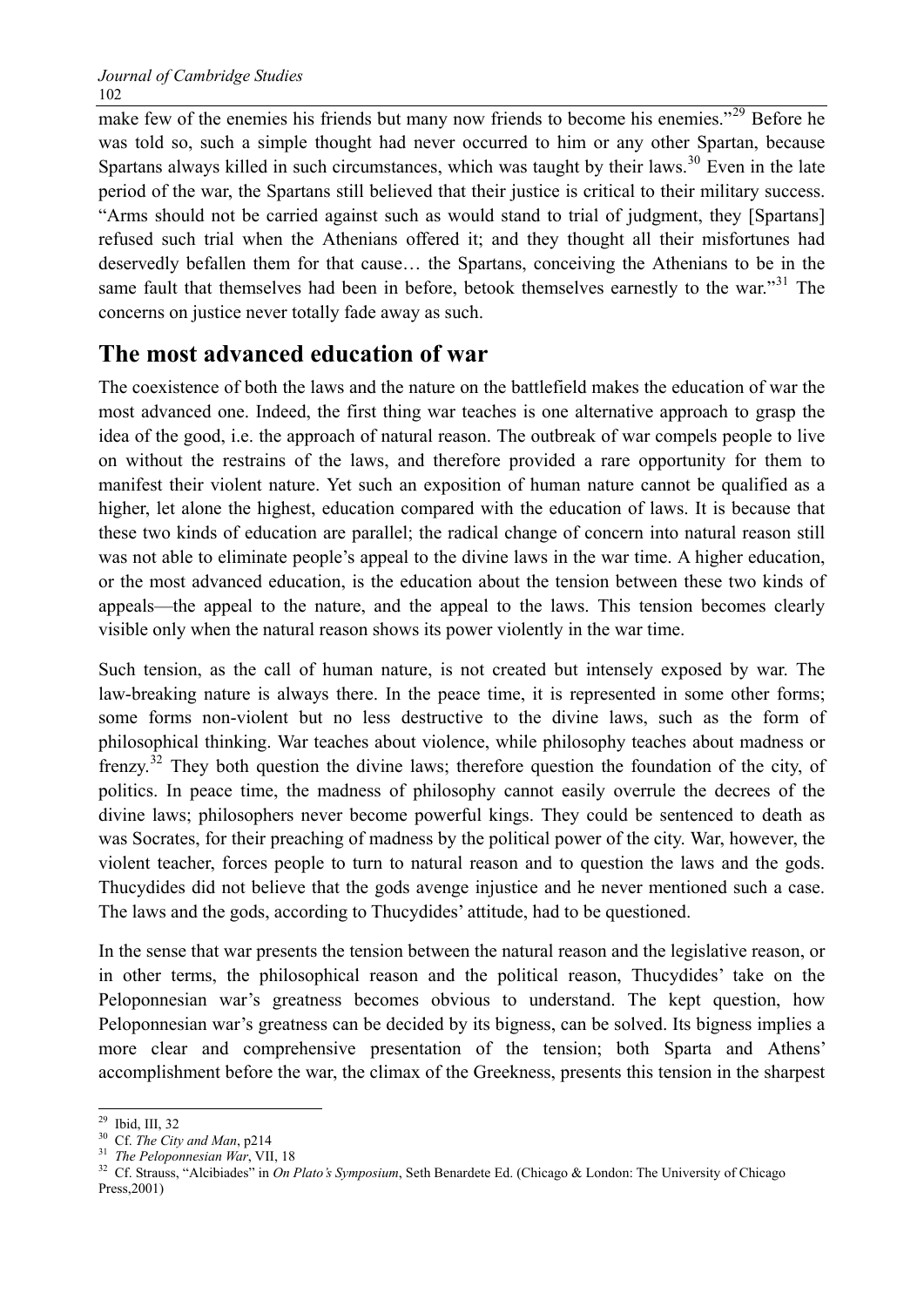make few of the enemies his friends but many now friends to become his enemies." $\frac{29}{9}$  $\frac{29}{9}$  $\frac{29}{9}$  Before he was told so, such a simple thought had never occurred to him or any other Spartan, because Spartans always killed in such circumstances, which was taught by their laws.<sup>[30](#page-6-1)</sup> Even in the late period of the war, the Spartans still believed that their justice is critical to their military success. "Arms should not be carried against such as would stand to trial of judgment, they [Spartans] refused such trial when the Athenians offered it; and they thought all their misfortunes had deservedly befallen them for that cause… the Spartans, conceiving the Athenians to be in the same fault that themselves had been in before, betook themselves earnestly to the war."<sup>[31](#page-6-2)</sup> The concerns on justice never totally fade away as such.

## **The most advanced education of war**

The coexistence of both the laws and the nature on the battlefield makes the education of war the most advanced one. Indeed, the first thing war teaches is one alternative approach to grasp the idea of the good, i.e. the approach of natural reason. The outbreak of war compels people to live on without the restrains of the laws, and therefore provided a rare opportunity for them to manifest their violent nature. Yet such an exposition of human nature cannot be qualified as a higher, let alone the highest, education compared with the education of laws. It is because that these two kinds of education are parallel; the radical change of concern into natural reason still was not able to eliminate people's appeal to the divine laws in the war time. A higher education, or the most advanced education, is the education about the tension between these two kinds of appeals—the appeal to the nature, and the appeal to the laws. This tension becomes clearly visible only when the natural reason shows its power violently in the war time.

Such tension, as the call of human nature, is not created but intensely exposed by war. The law-breaking nature is always there. In the peace time, it is represented in some other forms; some forms non-violent but no less destructive to the divine laws, such as the form of philosophical thinking. War teaches about violence, while philosophy teaches about madness or frenzy.<sup>[32](#page-6-3)</sup> They both question the divine laws; therefore question the foundation of the city, of politics. In peace time, the madness of philosophy cannot easily overrule the decrees of the divine laws; philosophers never become powerful kings. They could be sentenced to death as was Socrates, for their preaching of madness by the political power of the city. War, however, the violent teacher, forces people to turn to natural reason and to question the laws and the gods. Thucydides did not believe that the gods avenge injustice and he never mentioned such a case. The laws and the gods, according to Thucydides' attitude, had to be questioned.

In the sense that war presents the tension between the natural reason and the legislative reason, or in other terms, the philosophical reason and the political reason, Thucydides' take on the Peloponnesian war's greatness becomes obvious to understand. The kept question, how Peloponnesian war's greatness can be decided by its bigness, can be solved. Its bigness implies a more clear and comprehensive presentation of the tension; both Sparta and Athens' accomplishment before the war, the climax of the Greekness, presents this tension in the sharpest

 $\overline{a}$ 29 Ibid, III, 32

<span id="page-6-3"></span><span id="page-6-2"></span>

<span id="page-6-1"></span><span id="page-6-0"></span><sup>&</sup>lt;sup>30</sup> Cf. *The City and Man*, p214<br><sup>31</sup> *The Peloponnesian War*, VII, 18<br><sup>32</sup> Cf. Strauss, "Alcibiades" in *On Plato's Symposium*, Seth Benardete Ed. (Chicago & London: The University of Chicago Press,2001)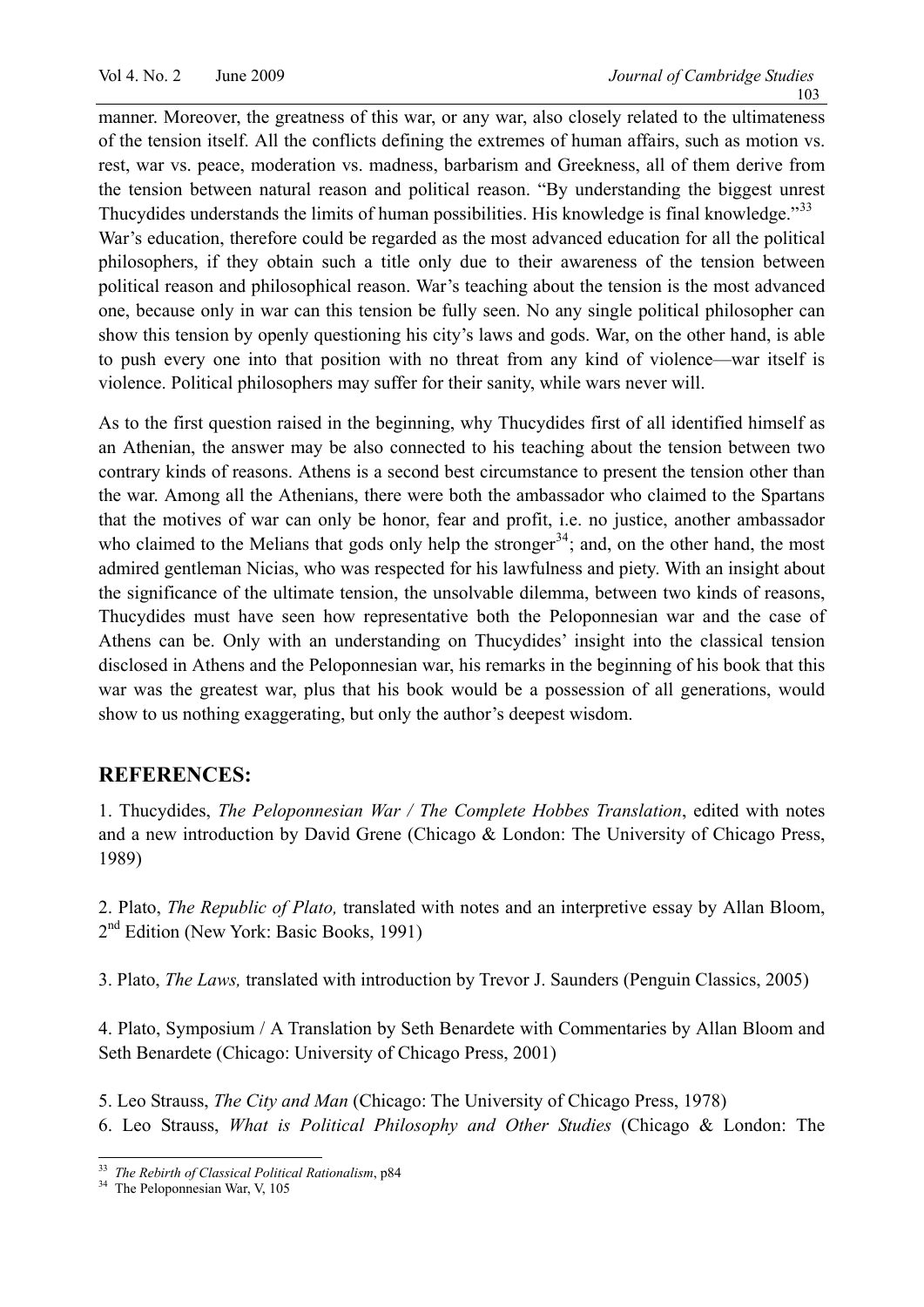manner. Moreover, the greatness of this war, or any war, also closely related to the ultimateness of the tension itself. All the conflicts defining the extremes of human affairs, such as motion vs. rest, war vs. peace, moderation vs. madness, barbarism and Greekness, all of them derive from the tension between natural reason and political reason. "By understanding the biggest unrest Thucydides understands the limits of human possibilities. His knowledge is final knowledge."<sup>[33](#page-7-0)</sup> War's education, therefore could be regarded as the most advanced education for all the political philosophers, if they obtain such a title only due to their awareness of the tension between political reason and philosophical reason. War's teaching about the tension is the most advanced one, because only in war can this tension be fully seen. No any single political philosopher can show this tension by openly questioning his city's laws and gods. War, on the other hand, is able to push every one into that position with no threat from any kind of violence—war itself is violence. Political philosophers may suffer for their sanity, while wars never will.

As to the first question raised in the beginning, why Thucydides first of all identified himself as an Athenian, the answer may be also connected to his teaching about the tension between two contrary kinds of reasons. Athens is a second best circumstance to present the tension other than the war. Among all the Athenians, there were both the ambassador who claimed to the Spartans that the motives of war can only be honor, fear and profit, i.e. no justice, another ambassador who claimed to the Melians that gods only help the stronger<sup>[34](#page-7-1)</sup>; and, on the other hand, the most admired gentleman Nicias, who was respected for his lawfulness and piety. With an insight about the significance of the ultimate tension, the unsolvable dilemma, between two kinds of reasons, Thucydides must have seen how representative both the Peloponnesian war and the case of Athens can be. Only with an understanding on Thucydides' insight into the classical tension disclosed in Athens and the Peloponnesian war, his remarks in the beginning of his book that this war was the greatest war, plus that his book would be a possession of all generations, would show to us nothing exaggerating, but only the author's deepest wisdom.

#### **REFERENCES:**

1. Thucydides, *The Peloponnesian War / The Complete Hobbes Translation*, edited with notes and a new introduction by David Grene (Chicago & London: The University of Chicago Press, 1989)

2. Plato, *The Republic of Plato,* translated with notes and an interpretive essay by Allan Bloom, 2<sup>nd</sup> Edition (New York: Basic Books, 1991)

3. Plato, *The Laws,* translated with introduction by Trevor J. Saunders (Penguin Classics, 2005)

4. Plato, Symposium / A Translation by Seth Benardete with Commentaries by Allan Bloom and Seth Benardete (Chicago: University of Chicago Press, 2001)

5. Leo Strauss, *The City and Man* (Chicago: The University of Chicago Press, 1978)

6. Leo Strauss, *What is Political Philosophy and Other Studies* (Chicago & London: The

 $\overline{a}$ 

<span id="page-7-1"></span><span id="page-7-0"></span><sup>&</sup>lt;sup>33</sup> *The Rebirth of Classical Political Rationalism*, p84<br><sup>34</sup> The Peloponnesian War, V, 105